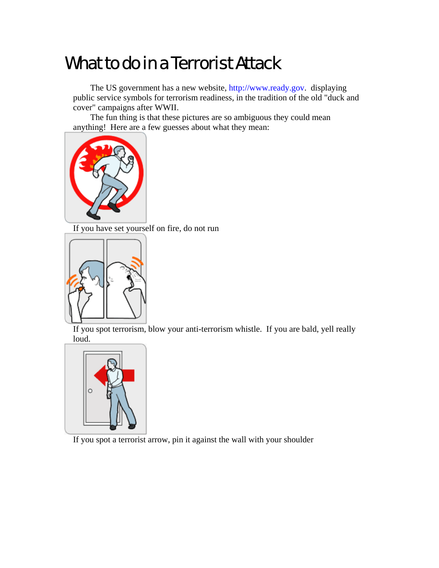## What to do in a Terrorist Attack

The US government has a new website, http://www.ready.gov. displaying public service symbols for terrorism readiness, in the tradition of the old "duck and cover" campaigns after WWII.

The fun thing is that these pictures are so ambiguous they could mean anything! Here are a few guesses about what they mean:



If you have set yourself on fire, do not run



If you spot terrorism, blow your anti-terrorism whistle. If you are bald, yell really loud.



If you spot a terrorist arrow, pin it against the wall with your shoulder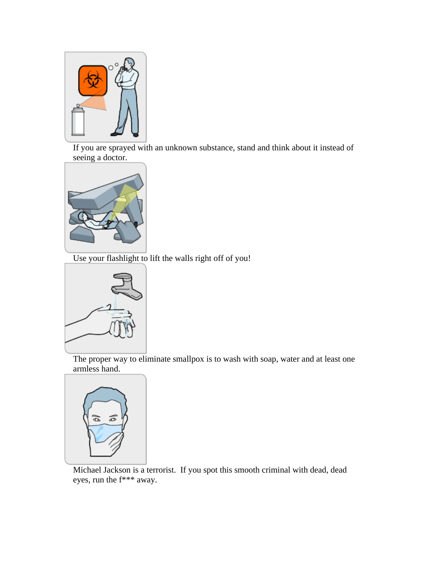

If you are sprayed with an unknown substance, stand and think about it instead of seeing a doctor.



Use your flashlight to lift the walls right off of you!



The proper way to eliminate smallpox is to wash with soap, water and at least one armless hand.



Michael Jackson is a terrorist. If you spot this smooth criminal with dead, dead eyes, run the f\*\*\* away.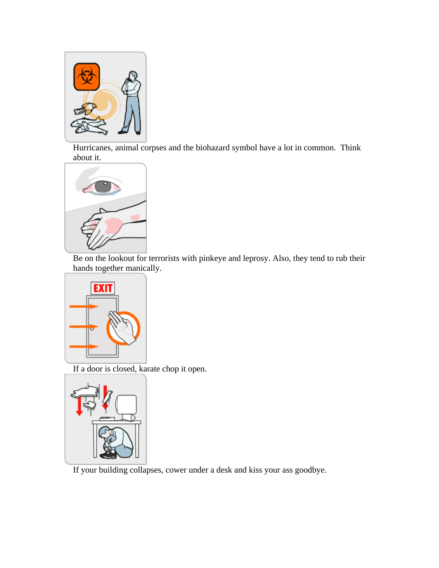

Hurricanes, animal corpses and the biohazard symbol have a lot in common. Think about it.



Be on the lookout for terrorists with pinkeye and leprosy. Also, they tend to rub their hands together manically.



If a door is closed, karate chop it open.



If your building collapses, cower under a desk and kiss your ass goodbye.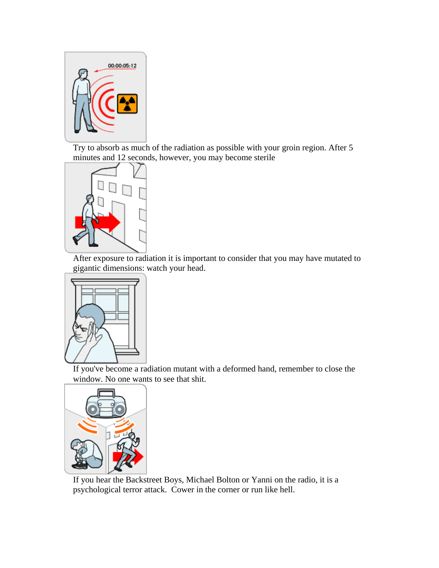

Try to absorb as much of the radiation as possible with your groin region. After 5 minutes and 12 seconds, however, you may become sterile



After exposure to radiation it is important to consider that you may have mutated to gigantic dimensions: watch your head.



If you've become a radiation mutant with a deformed hand, remember to close the window. No one wants to see that shit.



If you hear the Backstreet Boys, Michael Bolton or Yanni on the radio, it is a psychological terror attack. Cower in the corner or run like hell.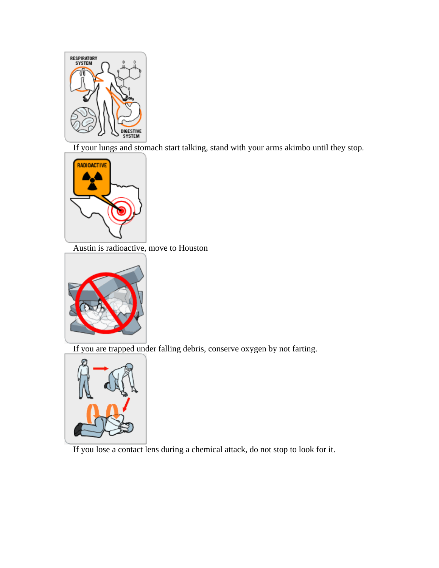

If your lungs and stomach start talking, stand with your arms akimbo until they stop.



Austin is radioactive, move to Houston



If you are trapped under falling debris, conserve oxygen by not farting.



If you lose a contact lens during a chemical attack, do not stop to look for it.